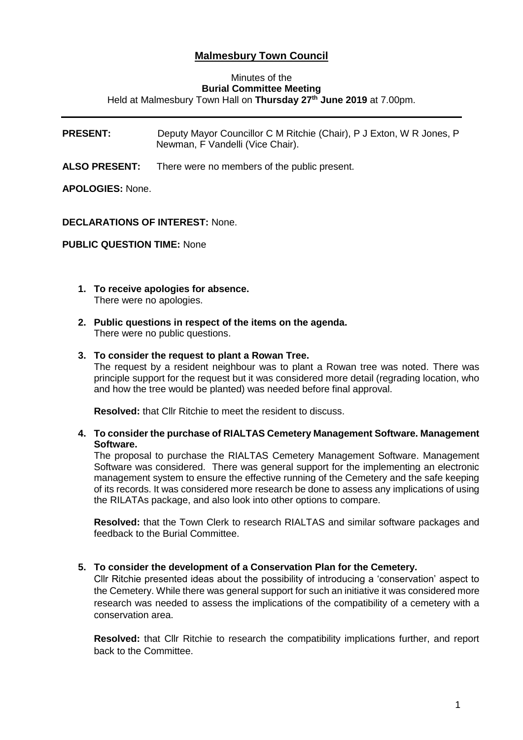# **Malmesbury Town Council**

#### Minutes of the **Burial Committee Meeting** Held at Malmesbury Town Hall on **Thursday 27th June 2019** at 7.00pm.

**PRESENT:** Deputy Mayor Councillor C M Ritchie (Chair), P J Exton, W R Jones, P Newman, F Vandelli (Vice Chair).

**ALSO PRESENT:** There were no members of the public present.

### **APOLOGIES:** None.

#### **DECLARATIONS OF INTEREST:** None.

**PUBLIC QUESTION TIME:** None

- **1. To receive apologies for absence.** There were no apologies.
- **2. Public questions in respect of the items on the agenda.** There were no public questions.

#### **3. To consider the request to plant a Rowan Tree.**

The request by a resident neighbour was to plant a Rowan tree was noted. There was principle support for the request but it was considered more detail (regrading location, who and how the tree would be planted) was needed before final approval.

**Resolved:** that Cllr Ritchie to meet the resident to discuss.

**4. To consider the purchase of RIALTAS Cemetery Management Software. Management Software.**

The proposal to purchase the RIALTAS Cemetery Management Software. Management Software was considered. There was general support for the implementing an electronic management system to ensure the effective running of the Cemetery and the safe keeping of its records. It was considered more research be done to assess any implications of using the RILATAs package, and also look into other options to compare.

**Resolved:** that the Town Clerk to research RIALTAS and similar software packages and feedback to the Burial Committee.

#### **5. To consider the development of a Conservation Plan for the Cemetery.**

Cllr Ritchie presented ideas about the possibility of introducing a 'conservation' aspect to the Cemetery. While there was general support for such an initiative it was considered more research was needed to assess the implications of the compatibility of a cemetery with a conservation area.

**Resolved:** that Cllr Ritchie to research the compatibility implications further, and report back to the Committee.